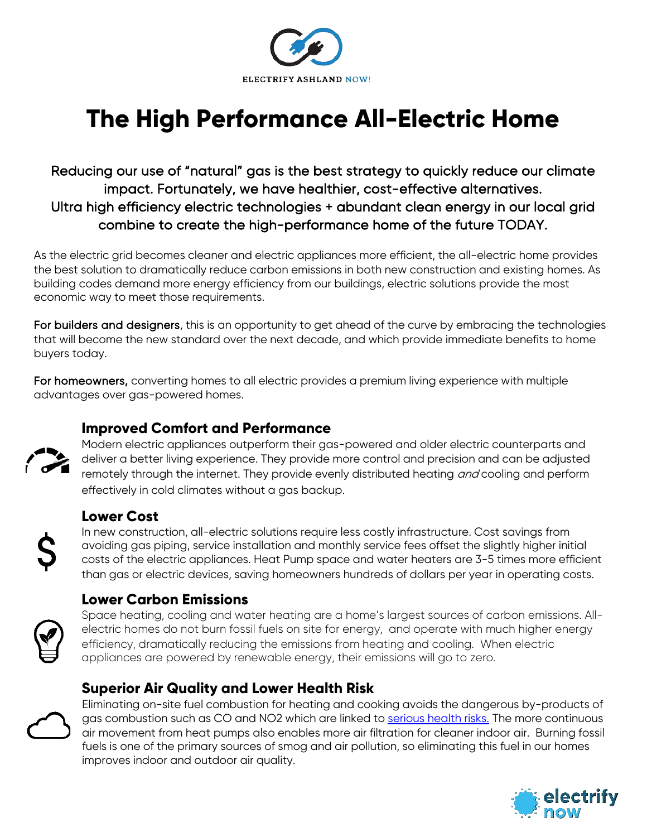

# **The High Performance All-Electric Home**

Reducing our use of "natural" gas is the best strategy to quickly reduce our climate impact. Fortunately, we have healthier, cost-effective alternatives. Ultra high efficiency electric technologies + abundant clean energy in our local grid combine to create the high-performance home of the future TODAY.

As the electric grid becomes cleaner and electric appliances more efficient, the all-electric home provides the best solution to dramatically reduce carbon emissions in both new construction and existing homes. As building codes demand more energy efficiency from our buildings, electric solutions provide the most economic way to meet those requirements.

For builders and designers, this is an opportunity to get ahead of the curve by embracing the technologies that will become the new standard over the next decade, and which provide immediate benefits to home buyers today.

For homeowners, converting homes to all electric provides a premium living experience with multiple advantages over gas-powered homes.

#### **Improved Comfort and Performance**

Modern electric appliances outperform their gas-powered and older electric counterparts and deliver a better living experience. They provide more control and precision and can be adjusted remotely through the internet. They provide evenly distributed heating *and* cooling and perform effectively in cold climates without a gas backup.

#### **Lower Cost**

In new construction, all-electric solutions require less costly infrastructure. Cost savings from avoiding gas piping, service installation and monthly service fees offset the slightly higher initial costs of the electric appliances. Heat Pump space and water heaters are 3-5 times more efficient than gas or electric devices, saving homeowners hundreds of dollars per year in operating costs.

#### **Lower Carbon Emissions**



Space heating, cooling and water heating are a home's largest sources of carbon emissions. Allelectric homes do not burn fossil fuels on site for energy, and operate with much higher energy efficiency, dramatically reducing the emissions from heating and cooling. When electric appliances are powered by renewable energy, their emissions will go to zero.

#### **Superior Air Quality and Lower Health Risk**



Eliminating on-site fuel combustion for heating and cooking avoids the dangerous by-products of gas combustion such as CO and NO2 which are linked to [serious health risks.](https://rmi.org/insight/gas-stoves-pollution-health) The more continuous air movement from heat pumps also enables more air filtration for cleaner indoor air. Burning fossil fuels is one of the primary sources of smog and air pollution, so eliminating this fuel in our homes improves indoor and outdoor air quality.

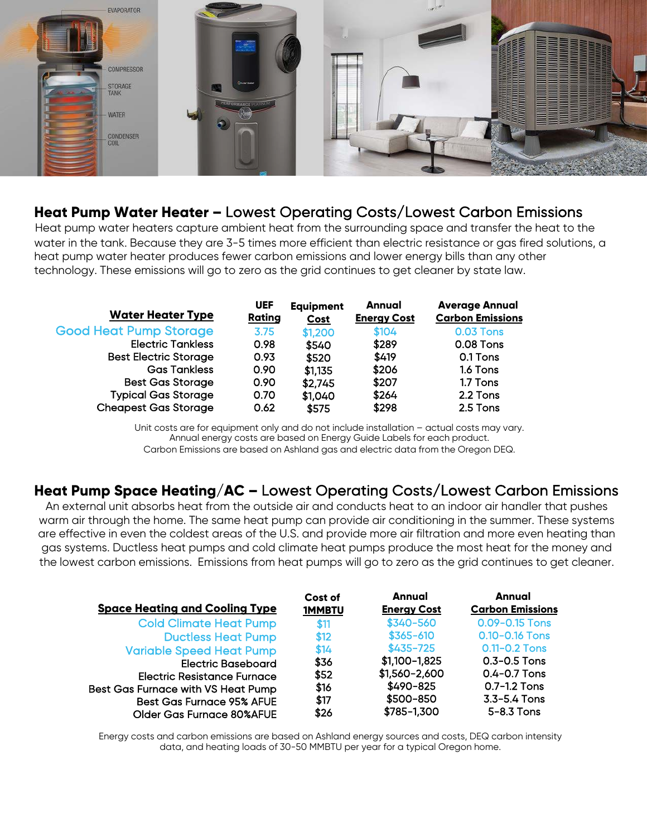

#### **Heat Pump Water Heater –** Lowest Operating Costs/Lowest Carbon Emissions

Heat pump water heaters capture ambient heat from the surrounding space and transfer the heat to the water in the tank. Because they are 3-5 times more efficient than electric resistance or gas fired solutions, a heat pump water heater produces fewer carbon emissions and lower energy bills than any other technology. These emissions will go to zero as the grid continues to get cleaner by state law.

| <b>Water Heater Type</b>      | <b>UEF</b><br>Rating | <b>Equipment</b><br><b>Cost</b> | Annual<br><b>Energy Cost</b> | <b>Average Annual</b><br><b>Carbon Emissions</b> |
|-------------------------------|----------------------|---------------------------------|------------------------------|--------------------------------------------------|
| <b>Good Heat Pump Storage</b> | 3.75                 | \$1,200                         | \$104                        | 0.03 Tons                                        |
| <b>Electric Tankless</b>      | 0.98                 | \$540                           | \$289                        | 0.08 Tons                                        |
| <b>Best Electric Storage</b>  | 0.93                 | \$520                           | \$419                        | 0.1 Tons                                         |
| <b>Gas Tankless</b>           | 0.90                 | \$1,135                         | \$206                        | 1.6 Tons                                         |
| <b>Best Gas Storage</b>       | 0.90                 | \$2,745                         | \$207                        | 1.7 Tons                                         |
| <b>Typical Gas Storage</b>    | 0.70                 | \$1,040                         | \$264                        | 2.2 Tons                                         |
| <b>Cheapest Gas Storage</b>   | 0.62                 | \$575                           | \$298                        | 2.5 Tons                                         |

Unit costs are for equipment only and do not include installation – actual costs may vary. Annual energy costs are based on Energy Guide Labels for each product. Carbon Emissions are based on Ashland gas and electric data from the Oregon DEQ.

#### **Heat Pump Space Heating/AC –** Lowest Operating Costs/Lowest Carbon Emissions

An external unit absorbs heat from the outside air and conducts heat to an indoor air handler that pushes warm air through the home. The same heat pump can provide air conditioning in the summer. These systems are effective in even the coldest areas of the U.S. and provide more air filtration and more even heating than gas systems. Ductless heat pumps and cold climate heat pumps produce the most heat for the money and the lowest carbon emissions. Emissions from heat pumps will go to zero as the grid continues to get cleaner.

| <b>Space Heating and Cooling Type</b>     | Cost of<br><b>1MMBTU</b> | Annual<br><b>Energy Cost</b> | Annual<br><b>Carbon Emissions</b> |
|-------------------------------------------|--------------------------|------------------------------|-----------------------------------|
| <b>Cold Climate Heat Pump</b>             | \$11                     | \$340-560                    | 0.09-0.15 Tons                    |
| <b>Ductless Heat Pump</b>                 | \$12                     | $$365 - 610$                 | 0.10-0.16 Tons                    |
| <b>Variable Speed Heat Pump</b>           | \$14                     | $$435 - 725$                 | 0.11-0.2 Tons                     |
| <b>Electric Baseboard</b>                 | \$36                     | \$1,100-1,825                | $0.3 - 0.5$ Tons                  |
| <b>Electric Resistance Furnace</b>        | \$52                     | \$1,560-2,600                | $0.4 - 0.7$ Tons                  |
| <b>Best Gas Furnace with VS Heat Pump</b> | \$16                     | \$490-825                    | $0.7 - 1.2$ Tons                  |
| <b>Best Gas Furnace 95% AFUE</b>          | \$17                     | \$500-850                    | 3.3-5.4 Tons                      |
| <b>Older Gas Furnace 80%AFUE</b>          | \$26                     | \$785-1,300                  | 5-8.3 Tons                        |

Energy costs and carbon emissions are based on Ashland energy sources and costs, DEQ carbon intensity data, and heating loads of 30-50 MMBTU per year for a typical Oregon home.